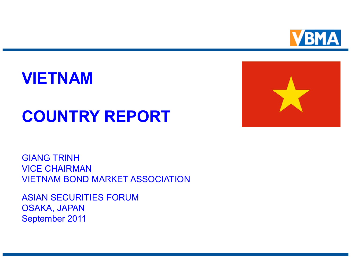

### **VIETNAM**

## **COUNTRY REPORT**



GIANG TRINH VICE CHAIRMAN VIETNAM BOND MARKET ASSOCIATION

ASIAN SECURITIES FORUM OSAKA, JAPAN September 2011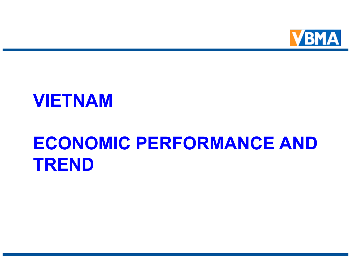

### **VIETNAM**

## **ECONOMIC PERFORMANCE AND TREND**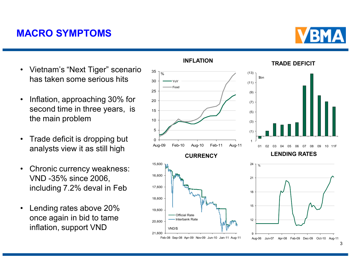#### **MACRO SYMPTOMS**

- Vietnam's "Next Tiger" scenario has taken some serious hits
- Inflation, approaching 30% for second time in three years, is the main problem
- Trade deficit is dropping but analysts view it as still high
- Chronic currency weakness: VND -35% since 2006, including 7.2% deval in Feb
- Lending rates above 20% once again in bid to tame inflation, support VND



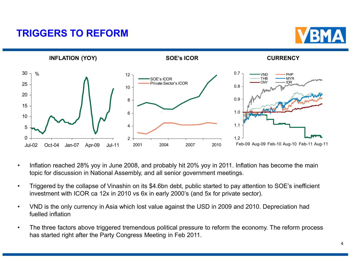#### **TRIGGERS TO REFORM**





- Inflation reached 28% yoy in June 2008, and probably hit 20% yoy in 2011. Inflation has become the main topic for discussion in National Assembly, and all senior government meetings.
- Triggered by the collapse of Vinashin on its \$4.6bn debt, public started to pay attention to SOE's inefficient investment with ICOR ca 12x in 2010 vs 6x in early 2000's (and 5x for private sector).
- VND is the only currency in Asia which lost value against the USD in 2009 and 2010. Depreciation had fuelled inflation
- The three factors above triggered tremendous political pressure to reform the economy. The reform process has started right after the Party Congress Meeting in Feb 2011.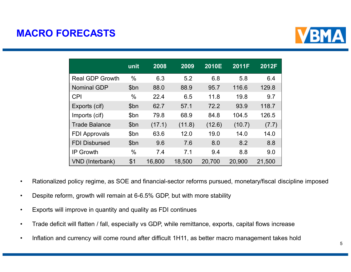#### **MACRO FORECASTS**



|                        | unit | 2008   | 2009   | 2010E  | 2011F  | 2012F  |
|------------------------|------|--------|--------|--------|--------|--------|
| <b>Real GDP Growth</b> | $\%$ | 6.3    | 5.2    | 6.8    | 5.8    | 6.4    |
| <b>Nominal GDP</b>     | \$bn | 88.0   | 88.9   | 95.7   | 116.6  | 129.8  |
| <b>CPI</b>             | $\%$ | 22.4   | 6.5    | 11.8   | 19.8   | 9.7    |
| Exports (cif)          | \$bn | 62.7   | 57.1   | 72.2   | 93.9   | 118.7  |
| Imports (cif)          | \$bn | 79.8   | 68.9   | 84.8   | 104.5  | 126.5  |
| <b>Trade Balance</b>   | \$bn | (17.1) | (11.8) | (12.6) | (10.7) | (7.7)  |
| <b>FDI Approvals</b>   | \$bn | 63.6   | 12.0   | 19.0   | 14.0   | 14.0   |
| <b>FDI Disbursed</b>   | \$bn | 9.6    | 7.6    | 8.0    | 8.2    | 8.8    |
| <b>IP Growth</b>       | $\%$ | 7.4    | 7.1    | 9.4    | 8.8    | 9.0    |
| VND (Interbank)        | \$1  | 16,800 | 18,500 | 20,700 | 20,900 | 21,500 |

- Rationalized policy regime, as SOE and financial-sector reforms pursued, monetary/fiscal discipline imposed
- Despite reform, growth will remain at 6-6.5% GDP, but with more stability
- Exports will improve in quantity and quality as FDI continues
- Trade deficit will flatten / fall, especially vs GDP, while remittance, exports, capital flows increase
- Inflation and currency will come round after difficult 1H11, as better macro management takes hold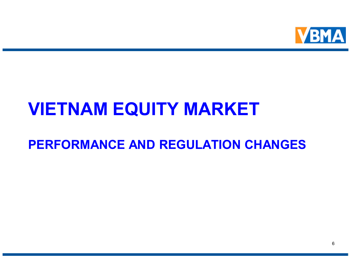

## **VIETNAM EQUITY MARKET**

### **PERFORMANCE AND REGULATION CHANGES**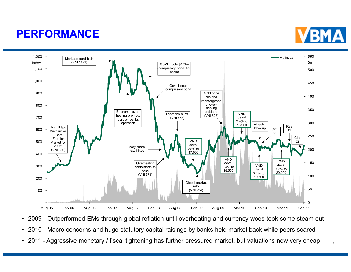### **PERFORMANCE**





- 2009 Outperformed EMs through global reflation until overheating and currency woes took some steam out
- 2010 Macro concerns and huge statutory capital raisings by banks held market back while peers soared
- 2011 Aggressive monetary / fiscal tightening has further pressured market, but valuations now very cheap  $\frac{7}{10}$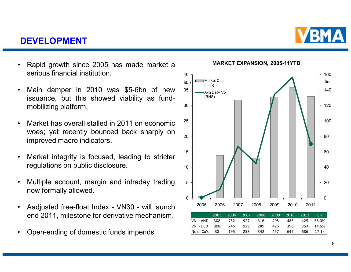#### **DEVELOPMENT**

- Rapid growth since 2005 has made market a serious financial institution.
- Main damper in 2010 was \$5-6bn of new issuance, but this showed viability as fundmobilizing platform.
- Market has overall stalled in 2011 on economic woes; yet recently bounced back sharply on improved macro indicators.
- Market integrity is focused, leading to stricter regulations on public disclosure.
- Multiple account, margin and intraday trading now formally allowed.
- Aadjusted free-float Index VN30 will launch end 2011, milestone for derivative mechanism.
- Open-ending of domestic funds impends

**MARKET EXPANSION, 2005-11YTD**



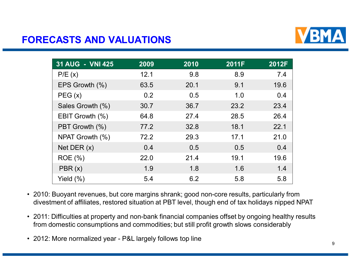

#### **FORECASTS AND VALUATIONS**

| 31 AUG - VNI 425 | 2009 | 2010 | 2011F | 2012F |
|------------------|------|------|-------|-------|
| P/E(x)           | 12.1 | 9.8  | 8.9   | 7.4   |
| EPS Growth (%)   | 63.5 | 20.1 | 9.1   | 19.6  |
| PEG(x)           | 0.2  | 0.5  | 1.0   | 0.4   |
| Sales Growth (%) | 30.7 | 36.7 | 23.2  | 23.4  |
| EBIT Growth (%)  | 64.8 | 27.4 | 28.5  | 26.4  |
| PBT Growth (%)   | 77.2 | 32.8 | 18.1  | 22.1  |
| NPAT Growth (%)  | 72.2 | 29.3 | 17.1  | 21.0  |
| Net DER $(x)$    | 0.4  | 0.5  | 0.5   | 0.4   |
| <b>ROE</b> (%)   | 22.0 | 21.4 | 19.1  | 19.6  |
| PBR(x)           | 1.9  | 1.8  | 1.6   | 1.4   |
| Yield $(\%)$     | 5.4  | 6.2  | 5.8   | 5.8   |

- 2010: Buoyant revenues, but core margins shrank; good non-core results, particularly from divestment of affiliates, restored situation at PBT level, though end of tax holidays nipped NPAT
- 2011: Difficulties at property and non-bank financial companies offset by ongoing healthy results from domestic consumptions and commodities; but still profit growth slows considerably
- 2012: More normalized year P&L largely follows top line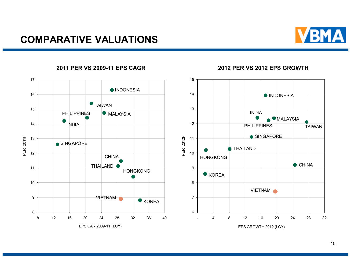#### **COMPARATIVE VALUATIONS**





#### **2011 PER VS 2009-11 EPS CAGR 2012 PER VS 2012 EPS GROWTH**

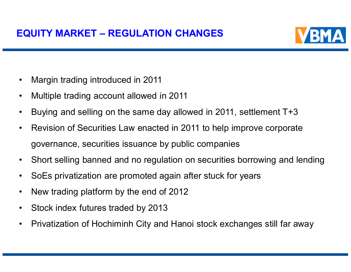

- Margin trading introduced in 2011
- Multiple trading account allowed in 2011
- Buying and selling on the same day allowed in 2011, settlement T+3
- Revision of Securities Law enacted in 2011 to help improve corporate governance, securities issuance by public companies
- Short selling banned and no regulation on securities borrowing and lending
- SoEs privatization are promoted again after stuck for years
- New trading platform by the end of 2012
- Stock index futures traded by 2013
- Privatization of Hochiminh City and Hanoi stock exchanges still far away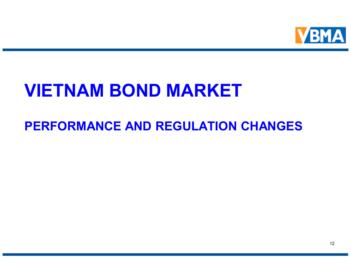

### **VIETNAM BOND MARKET**

### **PERFORMANCE AND REGULATION CHANGES**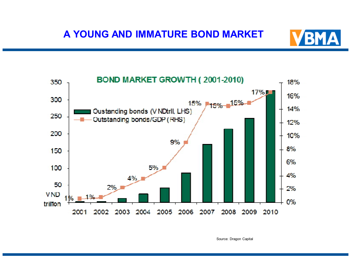



Source: Dragon Capital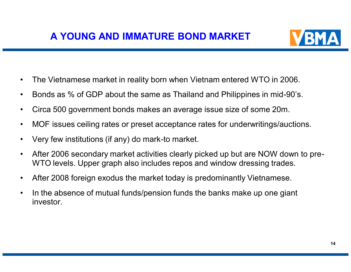

- The Vietnamese market in reality born when Vietnam entered WTO in 2006.
- Bonds as % of GDP about the same as Thailand and Philippines in mid-90's.
- Circa 500 government bonds makes an average issue size of some 20m.
- MOF issues ceiling rates or preset acceptance rates for underwritings/auctions.
- Very few institutions (if any) do mark-to market.
- After 2006 secondary market activities clearly picked up but are NOW down to pre-WTO levels. Upper graph also includes repos and window dressing trades.
- After 2008 foreign exodus the market today is predominantly Vietnamese.
- In the absence of mutual funds/pension funds the banks make up one giant investor.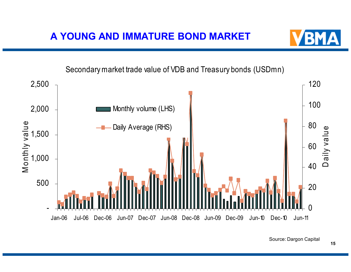

Secondary market trade value of VDB and Treasury bonds (USDmn)



Source: Dargon Capital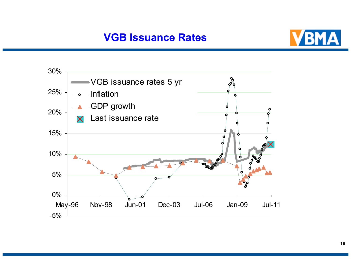#### **VGB Issuance Rates**



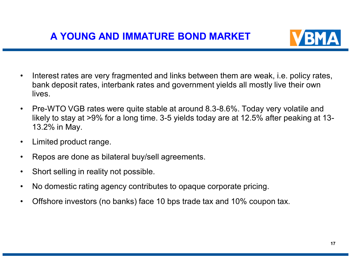

- Interest rates are very fragmented and links between them are weak, i.e. policy rates, bank deposit rates, interbank rates and government yields all mostly live their own lives.
- Pre-WTO VGB rates were quite stable at around 8.3-8.6%. Today very volatile and likely to stay at >9% for a long time. 3-5 yields today are at 12.5% after peaking at 13- 13.2% in May.
- Limited product range.
- Repos are done as bilateral buy/sell agreements.
- Short selling in reality not possible.
- No domestic rating agency contributes to opaque corporate pricing.
- Offshore investors (no banks) face 10 bps trade tax and 10% coupon tax.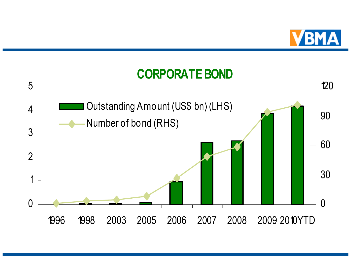

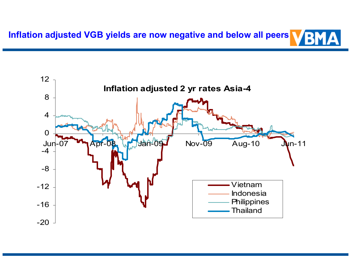

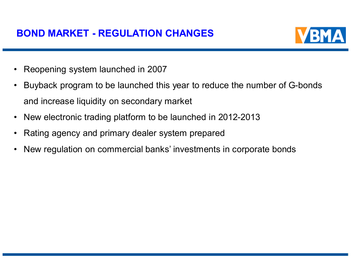

- Reopening system launched in 2007
- Buyback program to be launched this year to reduce the number of G-bonds and increase liquidity on secondary market
- New electronic trading platform to be launched in 2012-2013
- Rating agency and primary dealer system prepared
- New regulation on commercial banks' investments in corporate bonds